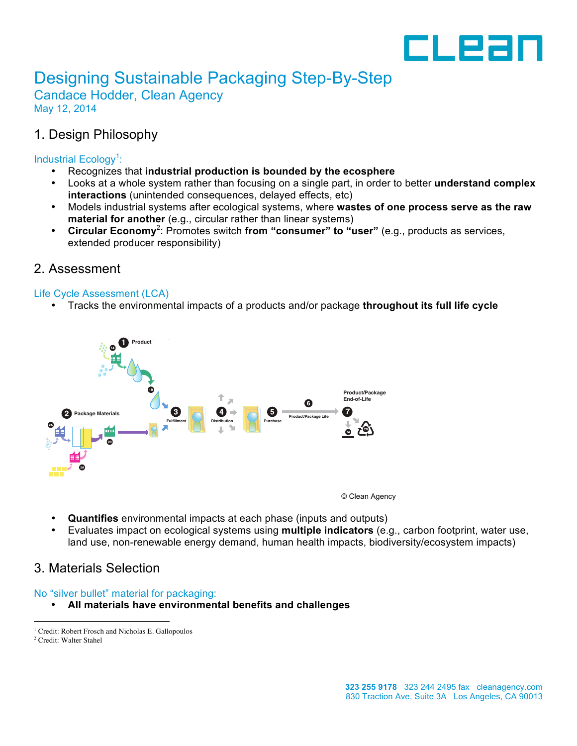

# Designing Sustainable Packaging Step-By-Step

Candace Hodder, Clean Agency May 12, 2014

## 1. Design Philosophy

#### Industrial Ecology<sup>1</sup>:

- Recognizes that **industrial production is bounded by the ecosphere**
- Looks at a whole system rather than focusing on a single part, in order to better **understand complex interactions** (unintended consequences, delayed effects, etc)
- Models industrial systems after ecological systems, where **wastes of one process serve as the raw material for another** (e.g., circular rather than linear systems)
- Circular Economy<sup>2</sup>: Promotes switch from "consumer" to "user" (e.g., products as services, extended producer responsibility)

## 2. Assessment

#### Life Cycle Assessment (LCA)

• Tracks the environmental impacts of a products and/or package **throughout its full life cycle**



© Clean Agency

- **Quantifies** environmental impacts at each phase (inputs and outputs)
- Evaluates impact on ecological systems using **multiple indicators** (e.g., carbon footprint, water use, land use, non-renewable energy demand, human health impacts, biodiversity/ecosystem impacts)

## 3. Materials Selection

#### No "silver bullet" material for packaging:

• **All materials have environmental benefits and challenges**

<sup>&</sup>lt;sup>1</sup> Credit: Robert Frosch and Nicholas E. Gallopoulos  $2^2$  Credit: Walter Stahel